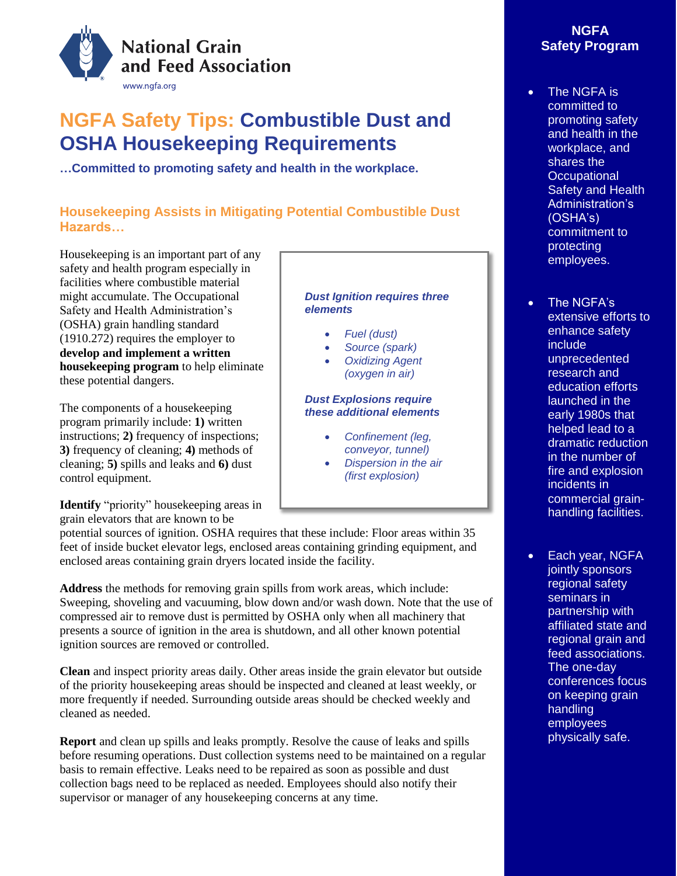

# **NGFA Safety Tips: Combustible Dust and OSHA Housekeeping Requirements**

**…Committed to promoting safety and health in the workplace.**

# **Housekeeping Assists in Mitigating Potential Combustible Dust Hazards…**

Housekeeping is an important part of any safety and health program especially in facilities where combustible material might accumulate. The Occupational Safety and Health Administration's (OSHA) grain handling standard (1910.272) requires the employer to **develop and implement a written housekeeping program** to help eliminate these potential dangers.

The components of a housekeeping program primarily include: **1)** written instructions; **2)** frequency of inspections; **3)** frequency of cleaning; **4)** methods of cleaning; **5)** spills and leaks and **6)** dust control equipment.

**Identify** "priority" housekeeping areas in grain elevators that are known to be

potential sources of ignition. OSHA requires that these include: Floor areas within 35 feet of inside bucket elevator legs, enclosed areas containing grinding equipment, and enclosed areas containing grain dryers located inside the facility.

**Address** the methods for removing grain spills from work areas, which include: Sweeping, shoveling and vacuuming, blow down and/or wash down. Note that the use of compressed air to remove dust is permitted by OSHA only when all machinery that presents a source of ignition in the area is shutdown, and all other known potential ignition sources are removed or controlled.

**Clean** and inspect priority areas daily. Other areas inside the grain elevator but outside of the priority housekeeping areas should be inspected and cleaned at least weekly, or more frequently if needed. Surrounding outside areas should be checked weekly and cleaned as needed.

**Report** and clean up spills and leaks promptly. Resolve the cause of leaks and spills before resuming operations. Dust collection systems need to be maintained on a regular basis to remain effective. Leaks need to be repaired as soon as possible and dust collection bags need to be replaced as needed. Employees should also notify their supervisor or manager of any housekeeping concerns at any time.

### *Dust Ignition requires three elements*

- *Fuel (dust)*
- *Source (spark)*
- *Oxidizing Agent (oxygen in air)*

### *Dust Explosions require these additional elements*

- *Confinement (leg, conveyor, tunnel)*
- *Dispersion in the air (first explosion)*

# **NGFA Safety Program**

- The NGFA is committed to promoting safety and health in the workplace, and shares the **Occupational** Safety and Health Administration's (OSHA's) commitment to protecting employees.
- The NGFA's extensive efforts to enhance safety include unprecedented research and education efforts launched in the early 1980s that helped lead to a dramatic reduction in the number of fire and explosion incidents in commercial grainhandling facilities.
- Each year, NGFA jointly sponsors regional safety seminars in partnership with affiliated state and regional grain and feed associations. The one-day conferences focus on keeping grain handling employees physically safe.